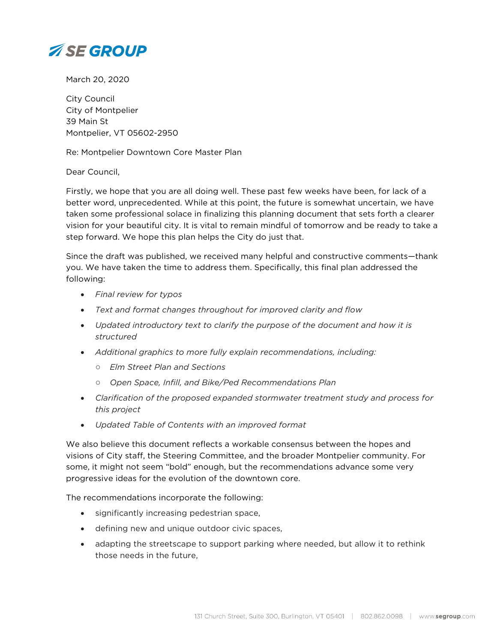

March 20, 2020

City Council City of Montpelier 39 Main St Montpelier, VT 05602-2950

Re: Montpelier Downtown Core Master Plan

Dear Council,

Firstly, we hope that you are all doing well. These past few weeks have been, for lack of a better word, unprecedented. While at this point, the future is somewhat uncertain, we have taken some professional solace in finalizing this planning document that sets forth a clearer vision for your beautiful city. It is vital to remain mindful of tomorrow and be ready to take a step forward. We hope this plan helps the City do just that.

Since the draft was published, we received many helpful and constructive comments—thank you. We have taken the time to address them. Specifically, this final plan addressed the following:

- *Final review for typos*
- *Text and format changes throughout for improved clarity and flow*
- *Updated introductory text to clarify the purpose of the document and how it is structured*
- *Additional graphics to more fully explain recommendations, including:*
	- *Elm Street Plan and Sections*
	- *Open Space, Infill, and Bike/Ped Recommendations Plan*
- *Clarification of the proposed expanded stormwater treatment study and process for this project*
- *Updated Table of Contents with an improved format*

We also believe this document reflects a workable consensus between the hopes and visions of City staff, the Steering Committee, and the broader Montpelier community. For some, it might not seem "bold" enough, but the recommendations advance some very progressive ideas for the evolution of the downtown core.

The recommendations incorporate the following:

- significantly increasing pedestrian space,
- defining new and unique outdoor civic spaces,
- adapting the streetscape to support parking where needed, but allow it to rethink those needs in the future,